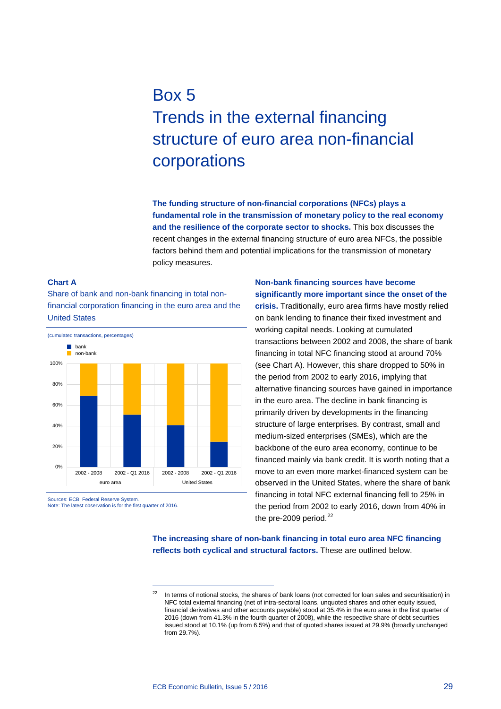## Box 5 Trends in the external financing structure of euro area non-financial corporations

**The funding structure of non-financial corporations (NFCs) plays a fundamental role in the transmission of monetary policy to the real economy and the resilience of the corporate sector to shocks.** This box discusses the recent changes in the external financing structure of euro area NFCs, the possible factors behind them and potential implications for the transmission of monetary policy measures.

## **Chart A**

Share of bank and non-bank financing in total nonfinancial corporation financing in the euro area and the United States



-

<span id="page-0-0"></span>Sources: ECB, Federal Reserve System. Note: The latest observation is for the first quarter of 2016. **Non-bank financing sources have become significantly more important since the onset of the** 

**crisis.** Traditionally, euro area firms have mostly relied on bank lending to finance their fixed investment and working capital needs. Looking at cumulated transactions between 2002 and 2008, the share of bank financing in total NFC financing stood at around 70% (see Chart A). However, this share dropped to 50% in the period from 2002 to early 2016, implying that alternative financing sources have gained in importance in the euro area. The decline in bank financing is primarily driven by developments in the financing structure of large enterprises. By contrast, small and medium-sized enterprises (SMEs), which are the backbone of the euro area economy, continue to be financed mainly via bank credit. It is worth noting that a move to an even more market-financed system can be observed in the United States, where the share of bank financing in total NFC external financing fell to 25% in the period from 2002 to early 2016, down from 40% in the pre-2009 period. $^{22}$  $^{22}$  $^{22}$ 

**The increasing share of non-bank financing in total euro area NFC financing reflects both cyclical and structural factors.** These are outlined below.

In terms of notional stocks, the shares of bank loans (not corrected for loan sales and securitisation) in NFC total external financing (net of intra-sectoral loans, unquoted shares and other equity issued, financial derivatives and other accounts payable) stood at 35.4% in the euro area in the first quarter of 2016 (down from 41.3% in the fourth quarter of 2008), while the respective share of debt securities issued stood at 10.1% (up from 6.5%) and that of quoted shares issued at 29.9% (broadly unchanged from 29.7%).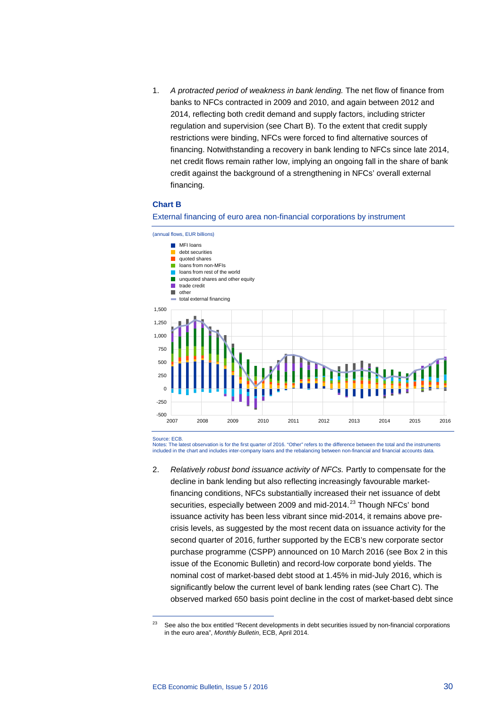1. *A protracted period of weakness in bank lending.* The net flow of finance from banks to NFCs contracted in 2009 and 2010, and again between 2012 and 2014, reflecting both credit demand and supply factors, including stricter regulation and supervision (see Chart B). To the extent that credit supply restrictions were binding, NFCs were forced to find alternative sources of financing. Notwithstanding a recovery in bank lending to NFCs since late 2014, net credit flows remain rather low, implying an ongoing fall in the share of bank credit against the background of a strengthening in NFCs' overall external financing.

## **Chart B**



External financing of euro area non-financial corporations by instrument

Source: ECB.

-

Notes: The latest observation is for the first quarter of 2016. "Other" refers to the difference between the total and the instruments included in the chart and includes inter-company loans and the rebalancing between non-financial and financial accounts data.

2. *Relatively robust bond issuance activity of NFCs.* Partly to compensate for the decline in bank lending but also reflecting increasingly favourable marketfinancing conditions, NFCs substantially increased their net issuance of debt securities, especially between 2009 and mid-2014.<sup>[23](#page-1-0)</sup> Though NFCs' bond issuance activity has been less vibrant since mid-2014, it remains above precrisis levels, as suggested by the most recent data on issuance activity for the second quarter of 2016, further supported by the ECB's new corporate sector purchase programme (CSPP) announced on 10 March 2016 (see Box 2 in this issue of the Economic Bulletin) and record-low corporate bond yields. The nominal cost of market-based debt stood at 1.45% in mid-July 2016, which is significantly below the current level of bank lending rates (see Chart C). The observed marked 650 basis point decline in the cost of market-based debt since

<span id="page-1-0"></span><sup>&</sup>lt;sup>23</sup> See also the box entitled "Recent developments in debt securities issued by non-financial corporations in the euro area", *Monthly Bulletin*, ECB, April 2014.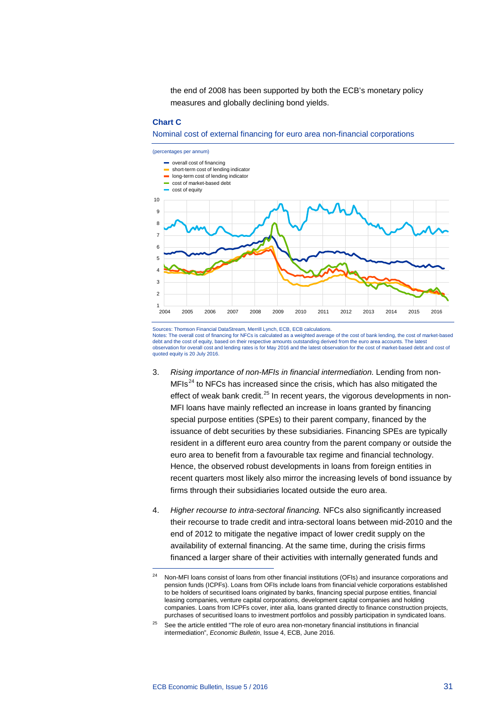the end of 2008 has been supported by both the ECB's monetary policy measures and globally declining bond yields.

## **Chart C**

Nominal cost of external financing for euro area non-financial corporations



Sources: Thomson Financial DataStream, Merrill Lynch, ECB, ECB calculations. Notes: The overall cost of financing for NFCs is calculated as a weighted average of the cost of bank lending, the cost of market-based debt and the cost of equity, based on their respective amounts outstanding derived from the euro area accounts. The latest<br>observation for overall cost and lending rates is for May 2016 and the latest observation for the c quoted equity is 20 July 2016.

- 3. *Rising importance of non-MFIs in financial intermediation.* Lending from non- $MFIs<sup>24</sup>$  $MFIs<sup>24</sup>$  $MFIs<sup>24</sup>$  to NFCs has increased since the crisis, which has also mitigated the effect of weak bank credit. $^{25}$  $^{25}$  $^{25}$  In recent years, the vigorous developments in non-MFI loans have mainly reflected an increase in loans granted by financing special purpose entities (SPEs) to their parent company, financed by the issuance of debt securities by these subsidiaries. Financing SPEs are typically resident in a different euro area country from the parent company or outside the euro area to benefit from a favourable tax regime and financial technology. Hence, the observed robust developments in loans from foreign entities in recent quarters most likely also mirror the increasing levels of bond issuance by firms through their subsidiaries located outside the euro area.
- 4. *Higher recourse to intra-sectoral financing.* NFCs also significantly increased their recourse to trade credit and intra-sectoral loans between mid-2010 and the end of 2012 to mitigate the negative impact of lower credit supply on the availability of external financing. At the same time, during the crisis firms financed a larger share of their activities with internally generated funds and

-

<span id="page-2-0"></span><sup>&</sup>lt;sup>24</sup> Non-MFI loans consist of loans from other financial institutions (OFIs) and insurance corporations and pension funds (ICPFs). Loans from OFIs include loans from financial vehicle corporations established to be holders of securitised loans originated by banks, financing special purpose entities, financial leasing companies, venture capital corporations, development capital companies and holding companies. Loans from ICPFs cover, inter alia, loans granted directly to finance construction projects, purchases of securitised loans to investment portfolios and possibly participation in syndicated loans.

<span id="page-2-1"></span><sup>&</sup>lt;sup>25</sup> See the article entitled "The role of euro area non-monetary financial institutions in financial intermediation", *Economic Bulletin*, Issue 4, ECB, June 2016.